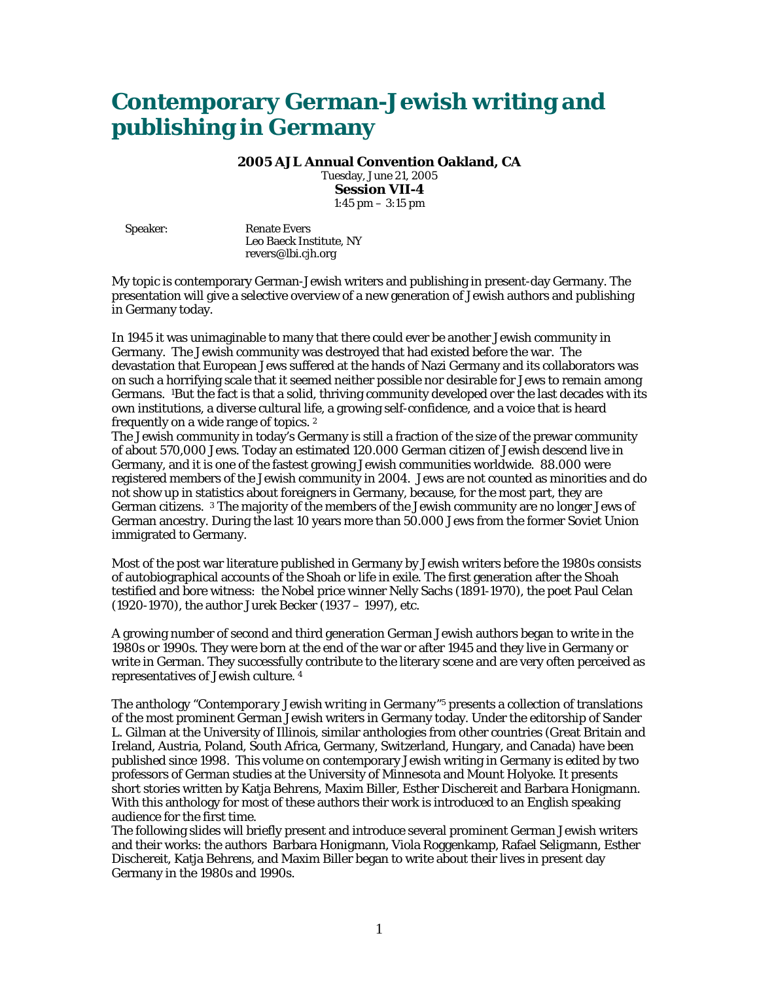# **Contemporary German-Jewish writing and publishing in Germany**

**2005 AJL Annual Convention Oakland, CA**  Tuesday, June 21, 2005 **Session VII-4** 

1:45 pm – 3:15 pm

Speaker: Renate Evers Leo Baeck Institute, NY revers@lbi.cjh.org

My topic is contemporary German-Jewish writers and publishing in present-day Germany. The presentation will give a selective overview of a new generation of Jewish authors and publishing in Germany today.

In 1945 it was unimaginable to many that there could ever be another Jewish community in Germany. The Jewish community was destroyed that had existed before the war. The devastation that European Jews suffered at the hands of Nazi Germany and its collaborators was on such a horrifying scale that it seemed neither possible nor desirable for Jews to remain among Germans. 1But the fact is that a solid, thriving community developed over the last decades with its own institutions, a diverse cultural life, a growing self-confidence, and a voice that is heard frequently on a wide range of topics. 2

The Jewish community in today's Germany is still a fraction of the size of the prewar community of about 570,000 Jews. Today an estimated 120.000 German citizen of Jewish descend live in Germany, and it is one of the fastest growing Jewish communities worldwide. 88.000 were registered members of the Jewish community in 2004. Jews are not counted as minorities and do not show up in statistics about foreigners in Germany, because, for the most part, they are German citizens. 3 The majority of the members of the Jewish community are no longer Jews of German ancestry. During the last 10 years more than 50.000 Jews from the former Soviet Union immigrated to Germany.

Most of the post war literature published in Germany by Jewish writers before the 1980s consists of autobiographical accounts of the Shoah or life in exile. The first generation after the Shoah testified and bore witness: the Nobel price winner Nelly Sachs (1891-1970), the poet Paul Celan (1920-1970), the author Jurek Becker (1937 – 1997), etc.

A growing number of second and third generation German Jewish authors began to write in the 1980s or 1990s. They were born at the end of the war or after 1945 and they live in Germany or write in German. They successfully contribute to the literary scene and are very often perceived as representatives of Jewish culture*. 4*

The anthology "*Contemporary Jewish writing in Germany*"5 presents a collection of translations of the most prominent German Jewish writers in Germany today. Under the editorship of Sander L. Gilman at the University of Illinois, similar anthologies from other countries (Great Britain and Ireland, Austria, Poland, South Africa, Germany, Switzerland, Hungary, and Canada) have been published since 1998. This volume on contemporary Jewish writing in Germany is edited by two professors of German studies at the University of Minnesota and Mount Holyoke. It presents short stories written by Katja Behrens, Maxim Biller, Esther Dischereit and Barbara Honigmann. With this anthology for most of these authors their work is introduced to an English speaking audience for the first time.

The following slides will briefly present and introduce several prominent German Jewish writers and their works: the authors Barbara Honigmann, Viola Roggenkamp, Rafael Seligmann, Esther Dischereit, Katja Behrens, and Maxim Biller began to write about their lives in present day Germany in the 1980s and 1990s.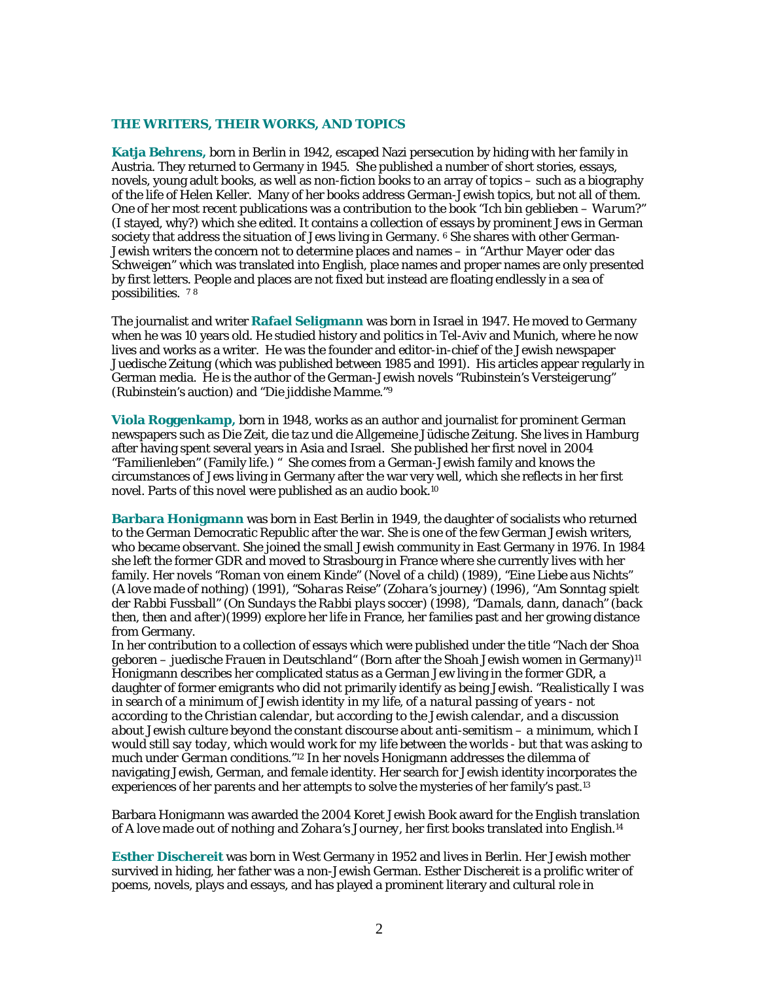#### **THE WRITERS, THEIR WORKS, AND TOPICS**

**Katja Behrens,** born in Berlin in 1942, escaped Nazi persecution by hiding with her family in Austria. They returned to Germany in 1945. She published a number of short stories, essays, novels, young adult books, as well as non-fiction books to an array of topics – such as a biography of the life of Helen Keller. Many of her books address German-Jewish topics, but not all of them. One of her most recent publications was a contribution to the book "*Ich bin geblieben – Warum?"* (I stayed, why?) which she edited. It contains a collection of essays by prominent Jews in German society that address the situation of Jews living in Germany. <sup>6</sup> She shares with other German-Jewish writers the concern not to determine places and names – in "*Arthur Mayer oder das Schweigen*" which was translated into English, place names and proper names are only presented by first letters. People and places are not fixed but instead are floating endlessly in a sea of possibilities. 7 <sup>8</sup>

The journalist and writer **Rafael Seligmann** was born in Israel in 1947. He moved to Germany when he was 10 years old. He studied history and politics in Tel-Aviv and Munich, where he now lives and works as a writer. He was the founder and editor-in-chief of the Jewish newspaper *Juedische Zeitung* (which was published between 1985 and 1991). His articles appear regularly in German media. He is the author of the German-Jewish novels "*Rubinstein's Versteigerung*" (Rubinstein's auction) and "*Die jiddishe Mamme*."9

**Viola Roggenkamp,** born in 1948, works as an author and journalist for prominent German newspapers such as *Die Zeit*, die *taz* und die *Allgemeine Jüdische Zeitung.* She lives in Hamburg after having spent several years in Asia and Israel. She published her first novel in 2004 "*Familienleben"* (Family life.) " She comes from a German-Jewish family and knows the circumstances of Jews living in Germany after the war very well, which she reflects in her first novel. Parts of this novel were published as an audio book.10

**Barbara Honigmann** was born in East Berlin in 1949, the daughter of socialists who returned to the German Democratic Republic after the war. She is one of the few German Jewish writers, who became observant. She joined the small Jewish community in East Germany in 1976. In 1984 she left the former GDR and moved to Strasbourg in France where she currently lives with her family. Her novels "*Roman von einem Kinde" (Novel of a child) (1989), "Eine Liebe aus Nichts" (A love made of nothing) (1991), "Soharas Reise" (Zohara's journey) (1996), "Am Sonntag spielt der Rabbi Fussball" (On Sundays the Rabbi plays soccer) (1998), "Damals, dann, danach" (back then, then and after)(1999)* explore her life in France, her families past and her growing distance from Germany.

In her contribution to a collection of essays which were published under the title "*Nach der Shoa geboren – juedische Frauen in Deutschland*" (Born after the Shoah Jewish women in Germany)11 Honigmann describes her complicated status as a German Jew living in the former GDR, a daughter of former emigrants who did not primarily identify as being Jewish. "*Realistically I was in search of a minimum of Jewish identity in my life, of a natural passing of years - not according to the Christian calendar, but according to the Jewish calendar, and a discussion about Jewish culture beyond the constant discourse about anti-semitism – a minimum, which I would still say today, which would work for my life between the worlds - but that was asking to much under German conditions."*12 In her novels Honigmann addresses the dilemma of navigating Jewish, German, and female identity. Her search for Jewish identity incorporates the experiences of her parents and her attempts to solve the mysteries of her family's past.<sup>13</sup>

Barbara Honigmann was awarded the 2004 Koret Jewish Book award for the English translation of *A love made out of nothing* and *Zohara's Journey*, her first books translated into English.14

**Esther Dischereit** was born in West Germany in 1952 and lives in Berlin. Her Jewish mother survived in hiding, her father was a non-Jewish German. Esther Dischereit is a prolific writer of poems, novels, plays and essays, and has played a prominent literary and cultural role in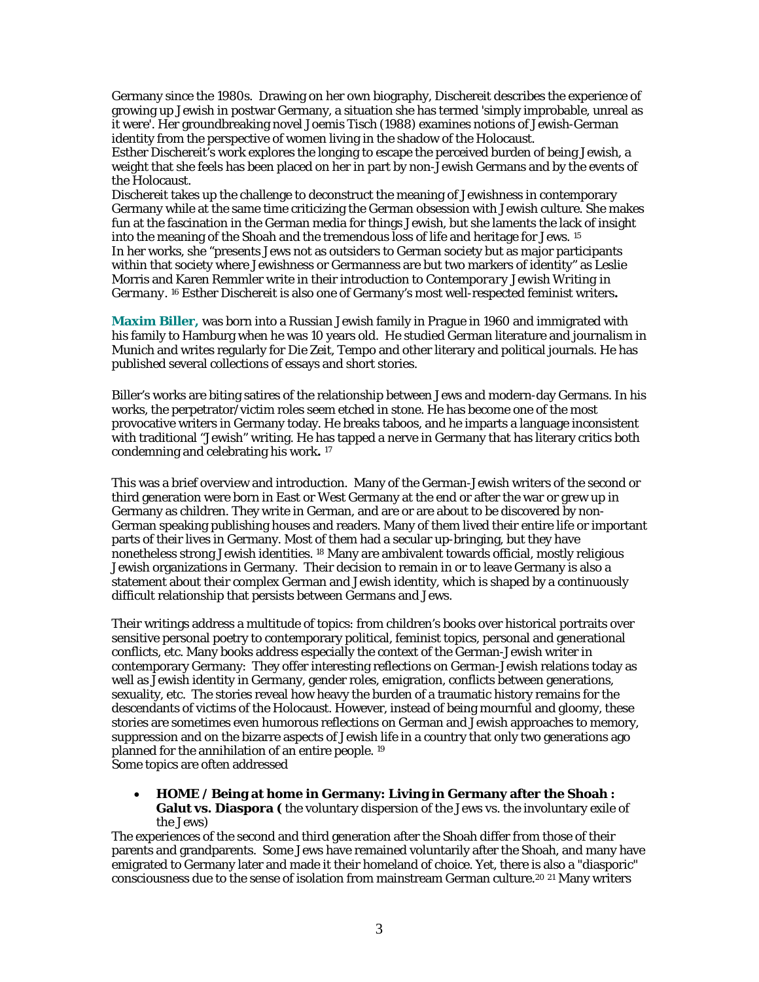Germany since the 1980s. Drawing on her own biography, Dischereit describes the experience of growing up Jewish in postwar Germany, a situation she has termed 'simply improbable, unreal as it were'. Her groundbreaking novel *Joemis Tisch* (1988) examines notions of Jewish-German identity from the perspective of women living in the shadow of the Holocaust.

Esther Dischereit's work explores the longing to escape the perceived burden of being Jewish, a weight that she feels has been placed on her in part by non-Jewish Germans and by the events of the Holocaust.

Dischereit takes up the challenge to deconstruct the meaning of Jewishness in contemporary Germany while at the same time criticizing the German obsession with Jewish culture. She makes fun at the fascination in the German media for things Jewish, but she laments the lack of insight into the meaning of the Shoah and the tremendous loss of life and heritage for Jews. 15 In her works, she "presents Jews not as outsiders to German society but as major participants within that society where Jewishness or Germanness are but two markers of identity" as Leslie Morris and Karen Remmler write in their introduction to *Contemporary Jewish Writing in Germany*. 16 Esther Dischereit is also one of Germany's most well-respected feminist writers**.** 

**Maxim Biller,** was born into a Russian Jewish family in Prague in 1960 and immigrated with his family to Hamburg when he was 10 years old. He studied German literature and journalism in Munich and writes regularly for *Die Zeit*, *Tempo* and other literary and political journals. He has published several collections of essays and short stories.

Biller's works are biting satires of the relationship between Jews and modern-day Germans. In his works, the perpetrator/victim roles seem etched in stone. He has become one of the most provocative writers in Germany today. He breaks taboos, and he imparts a language inconsistent with traditional "Jewish" writing. He has tapped a nerve in Germany that has literary critics both condemning and celebrating his work**.** <sup>17</sup>

This was a brief overview and introduction. Many of the German-Jewish writers of the second or third generation were born in East or West Germany at the end or after the war or grew up in Germany as children. They write in German, and are or are about to be discovered by non-German speaking publishing houses and readers. Many of them lived their entire life or important parts of their lives in Germany. Most of them had a secular up-bringing, but they have nonetheless strong Jewish identities. 18 Many are ambivalent towards official, mostly religious Jewish organizations in Germany. Their decision to remain in or to leave Germany is also a statement about their complex German and Jewish identity, which is shaped by a continuously difficult relationship that persists between Germans and Jews.

Their writings address a multitude of topics: from children's books over historical portraits over sensitive personal poetry to contemporary political, feminist topics, personal and generational conflicts, etc. Many books address especially the context of the German-Jewish writer in contemporary Germany: They offer interesting reflections on German-Jewish relations today as well as Jewish identity in Germany, gender roles, emigration, conflicts between generations, sexuality, etc. The stories reveal how heavy the burden of a traumatic history remains for the descendants of victims of the Holocaust. However, instead of being mournful and gloomy, these stories are sometimes even humorous reflections on German and Jewish approaches to memory, suppression and on the bizarre aspects of Jewish life in a country that only two generations ago planned for the annihilation of an entire people. 19 Some topics are often addressed

• **HOME / Being at home in Germany: Living in Germany after the Shoah : Galut vs. Diaspora (** the voluntary dispersion of the Jews vs. the involuntary exile of the Jews)

The experiences of the second and third generation after the Shoah differ from those of their parents and grandparents. Some Jews have remained voluntarily after the Shoah, and many have emigrated to Germany later and made it their homeland of choice. Yet, there is also a "diasporic" consciousness due to the sense of isolation from mainstream German culture.<sup>20 21</sup> Many writers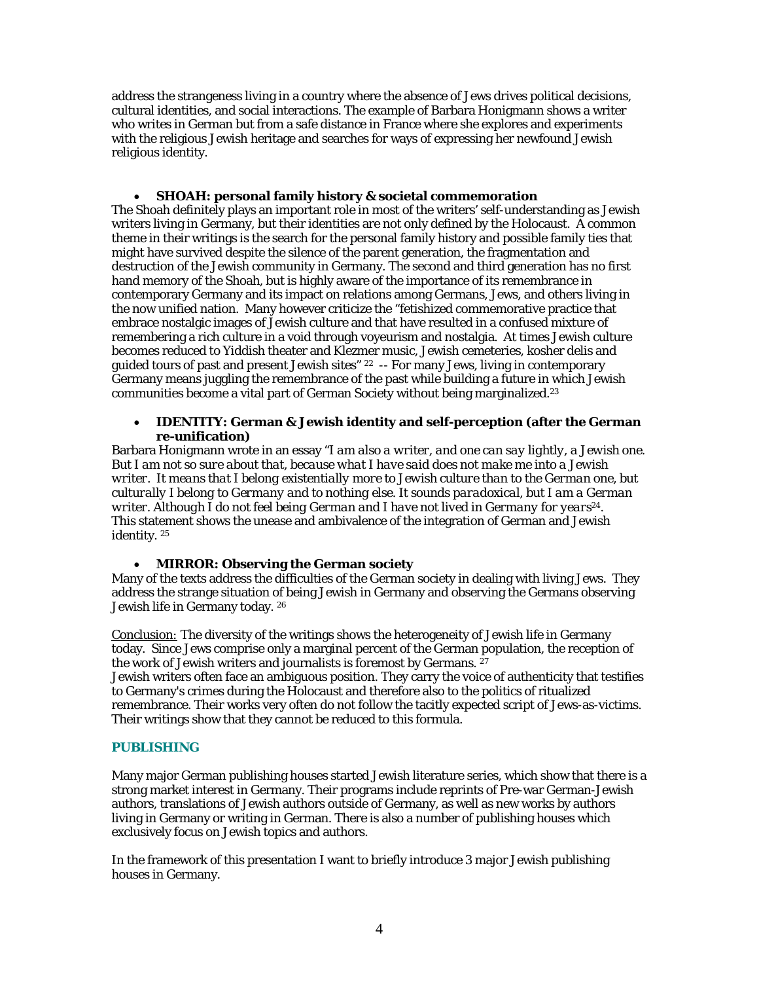address the strangeness living in a country where the absence of Jews drives political decisions, cultural identities, and social interactions. The example of Barbara Honigmann shows a writer who writes in German but from a safe distance in France where she explores and experiments with the religious Jewish heritage and searches for ways of expressing her newfound Jewish religious identity.

# • **SHOAH: personal family history & societal commemoration**

The Shoah definitely plays an important role in most of the writers' self-understanding as Jewish writers living in Germany, but their identities are not only defined by the Holocaust. A common theme in their writings is the search for the personal family history and possible family ties that might have survived despite the silence of the parent generation, the fragmentation and destruction of the Jewish community in Germany. The second and third generation has no first hand memory of the Shoah, but is highly aware of the importance of its remembrance in contemporary Germany and its impact on relations among Germans, Jews, and others living in the now unified nation. Many however criticize the "fetishized commemorative practice that embrace nostalgic images of Jewish culture and that have resulted in a confused mixture of remembering a rich culture in a void through voyeurism and nostalgia. At times Jewish culture becomes reduced to Yiddish theater and Klezmer music, Jewish cemeteries, kosher delis and guided tours of past and present Jewish sites" 22 -- For many Jews, living in contemporary Germany means juggling the remembrance of the past while building a future in which Jewish communities become a vital part of German Society without being marginalized.23

### • **IDENTITY: German & Jewish identity and self-perception (after the German re-unification)**

Barbara Honigmann wrote in an essay "*I am also a writer, and one can say lightly, a Jewish one. But I am not so sure about that, because what I have said does not make me into a Jewish writer. It means that I belong existentially more to Jewish culture than to the German one, but culturally I belong to Germany and to nothing else. It sounds paradoxical, but I am a German writer. Although I do not feel being German and I have not lived in Germany for years24*. This statement shows the unease and ambivalence of the integration of German and Jewish identity. 25

# • **MIRROR: Observing the German society**

Many of the texts address the difficulties of the German society in dealing with living Jews. They address the strange situation of being Jewish in Germany and observing the Germans observing Jewish life in Germany today. 26

*Conclusion:* The diversity of the writings shows the heterogeneity of Jewish life in Germany today. Since Jews comprise only a marginal percent of the German population, the reception of the work of Jewish writers and journalists is foremost by Germans. <sup>27</sup>

Jewish writers often face an ambiguous position. They carry the voice of authenticity that testifies to Germany's crimes during the Holocaust and therefore also to the politics of ritualized remembrance. Their works very often do not follow the tacitly expected script of Jews-as-victims. Their writings show that they cannot be reduced to this formula.

# **PUBLISHING**

Many major German publishing houses started Jewish literature series, which show that there is a strong market interest in Germany. Their programs include reprints of Pre-war German-Jewish authors, translations of Jewish authors outside of Germany, as well as new works by authors living in Germany or writing in German. There is also a number of publishing houses which exclusively focus on Jewish topics and authors.

In the framework of this presentation I want to briefly introduce 3 major Jewish publishing houses in Germany.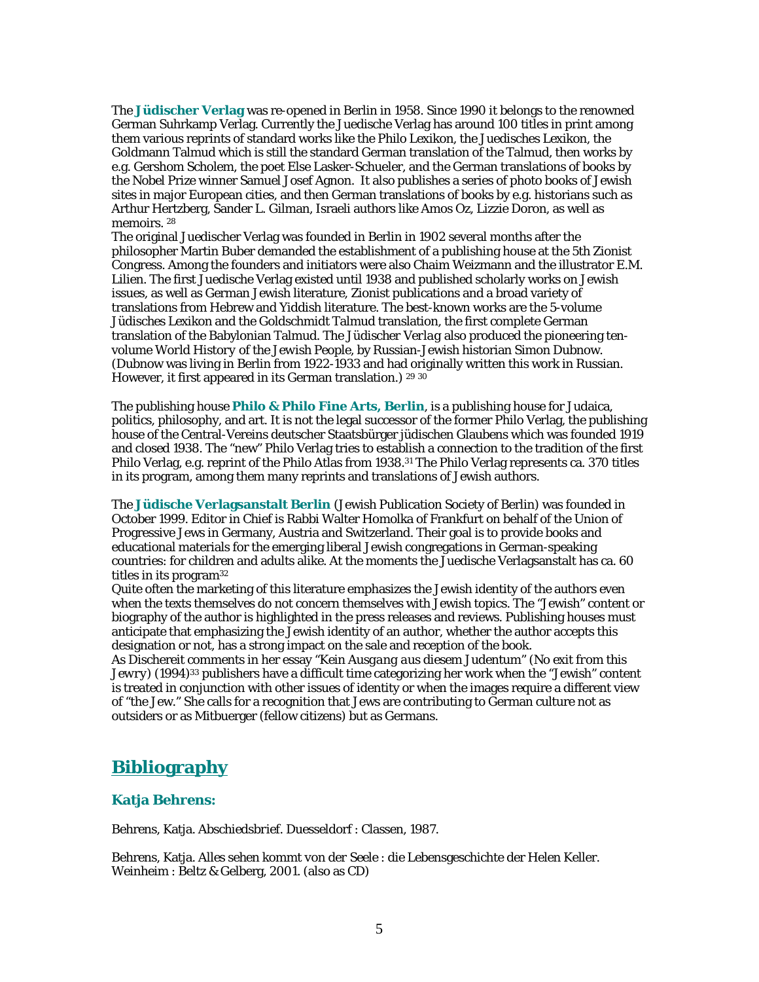The **Jüdischer Verlag** was re-opened in Berlin in 1958. Since 1990 it belongs to the renowned German Suhrkamp Verlag. Currently the Juedische Verlag has around 100 titles in print among them various reprints of standard works like the Philo Lexikon, the Juedisches Lexikon, the Goldmann Talmud which is still the standard German translation of the Talmud, then works by e.g. Gershom Scholem, the poet Else Lasker-Schueler, and the German translations of books by the Nobel Prize winner Samuel Josef Agnon. It also publishes a series of photo books of Jewish sites in major European cities, and then German translations of books by e.g. historians such as Arthur Hertzberg, Sander L. Gilman, Israeli authors like Amos Oz, Lizzie Doron, as well as memoirs.<sup>28</sup>

The original Juedischer Verlag was founded in Berlin in 1902 several months after the philosopher Martin Buber demanded the establishment of a publishing house at the 5th Zionist Congress. Among the founders and initiators were also Chaim Weizmann and the illustrator E.M. Lilien. The first Juedische Verlag existed until 1938 and published scholarly works on Jewish issues, as well as German Jewish literature, Zionist publications and a broad variety of translations from Hebrew and Yiddish literature. The best-known works are the 5-volume *Jüdisches Lexikon* and the Goldschmidt Talmud translation, the first complete German translation of the Babylonian Talmud. The *Jüdischer Verlag* also produced the pioneering tenvolume *World History of the Jewish People*, by Russian-Jewish historian Simon Dubnow. (Dubnow was living in Berlin from 1922-1933 and had originally written this work in Russian. However, it first appeared in its German translation.) 29 30

The publishing house **Philo & Philo Fine Arts, Berlin**, is a publishing house for Judaica, politics, philosophy, and art. It is not the legal successor of the former Philo Verlag, the publishing house of the Central-Vereins deutscher Staatsbürger jüdischen Glaubens which was founded 1919 and closed 1938. The "new" Philo Verlag tries to establish a connection to the tradition of the first Philo Verlag, e.g. reprint of the Philo Atlas from 1938.31 The Philo Verlag represents ca. 370 titles in its program, among them many reprints and translations of Jewish authors.

The **Jüdische Verlagsanstalt Berlin** (Jewish Publication Society of Berlin) was founded in October 1999. Editor in Chief is Rabbi Walter Homolka of Frankfurt on behalf of the Union of Progressive Jews in Germany, Austria and Switzerland. Their goal is to provide books and educational materials for the emerging liberal Jewish congregations in German-speaking countries: for children and adults alike. At the moments the Juedische Verlagsanstalt has ca. 60 titles in its program32

Quite often the marketing of this literature emphasizes the Jewish identity of the authors even when the texts themselves do not concern themselves with Jewish topics. The "Jewish" content or biography of the author is highlighted in the press releases and reviews. Publishing houses must anticipate that emphasizing the Jewish identity of an author, whether the author accepts this designation or not, has a strong impact on the sale and reception of the book.

As Dischereit comments in her essay "*Kein Ausgang aus diesem Judentum*" (*No exit from this Jewry)* (1994)33 publishers have a difficult time categorizing her work when the "Jewish" content is treated in conjunction with other issues of identity or when the images require a different view of "the Jew." She calls for a recognition that Jews are contributing to German culture not as outsiders or as Mitbuerger (fellow citizens) but as Germans.

# **Bibliography**

# **Katja Behrens:**

Behrens, Katja. *Abschiedsbrief.* Duesseldorf : Classen, 1987.

Behrens, Katja. *Alles sehen kommt von der Seele* : die Lebensgeschichte der Helen Keller. Weinheim : Beltz & Gelberg, 2001. (also as CD)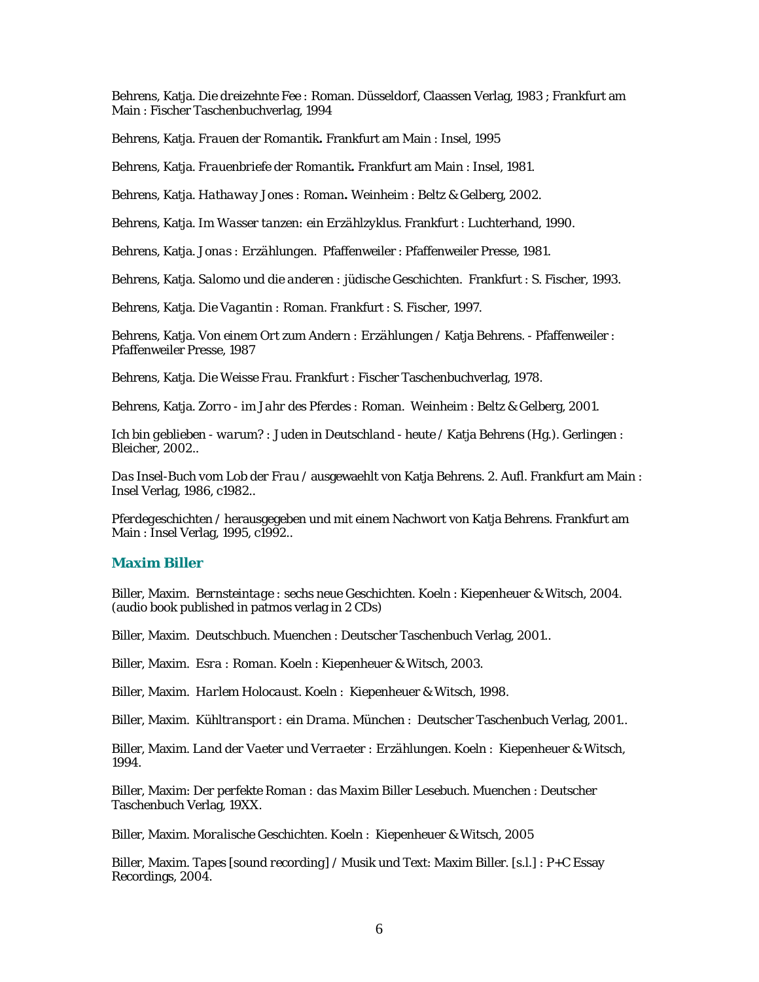Behrens, Katja. *Die dreizehnte Fee :* Roman. Düsseldorf, Claassen Verlag, 1983 ; Frankfurt am Main : Fischer Taschenbuchverlag, 1994

Behrens, Katja. *Frauen der Romantik***.** Frankfurt am Main : Insel, 1995

Behrens, Katja. *Frauenbriefe der Romantik***.** Frankfurt am Main : Insel, 1981.

Behrens, Katja. *Hathaway Jones : Roman***.** Weinheim : Beltz & Gelberg, 2002.

Behrens, Katja. *Im Wasser tanzen: ein Erzählzyklus.* Frankfurt : Luchterhand, 1990.

Behrens, Katja. *Jonas : Erzählungen.* Pfaffenweiler : Pfaffenweiler Presse, 1981.

Behrens, Katja. *Salomo und die anderen : jüdische Geschichten*. Frankfurt : S. Fischer, 1993.

Behrens, Katja. *Die Vagantin : Roman.* Frankfurt : S. Fischer, 1997.

Behrens, Katja. *Von einem Ort zum Andern : Erzählungen* / Katja Behrens. - Pfaffenweiler : Pfaffenweiler Presse, 1987

Behrens, Katja. *Die Weisse Frau.* Frankfurt : Fischer Taschenbuchverlag, 1978.

Behrens, Katja. *Zorro - im Jahr des Pferdes :* Roman. Weinheim : Beltz & Gelberg, 2001.

*Ich bin geblieben - warum? : Juden in Deutschland - heute* / Katja Behrens (Hg.). Gerlingen : Bleicher, 2002..

*Das Insel-Buch vom Lob der Frau* / ausgewaehlt von Katja Behrens. 2. Aufl. Frankfurt am Main : Insel Verlag, 1986, c1982..

*Pferdegeschichten* / herausgegeben und mit einem Nachwort von Katja Behrens. Frankfurt am Main : Insel Verlag, 1995, c1992..

#### **Maxim Biller**

Biller, Maxim. *Bernsteintage : sechs neue Geschichten*. Koeln : Kiepenheuer & Witsch, 2004. (audio book published in patmos verlag in 2 CDs)

Biller, Maxim. *Deutschbuch.* Muenchen : Deutscher Taschenbuch Verlag, 2001..

Biller, Maxim. *Esra : Roman.* Koeln : Kiepenheuer & Witsch, 2003.

Biller, Maxim. *Harlem Holocaust*. Koeln : Kiepenheuer & Witsch, 1998.

Biller, Maxim. *Kühltransport : ein Drama*. München : Deutscher Taschenbuch Verlag, 2001..

Biller, Maxim. *Land der Vaeter und Verraeter : Erzählungen.* Koeln : Kiepenheuer & Witsch, 1994.

Biller, Maxim: *Der perfekte Roman : das Maxim Biller Lesebuch*. Muenchen : Deutscher Taschenbuch Verlag, 19XX.

Biller, Maxim. *Moralische Geschichten*. Koeln : Kiepenheuer & Witsch, 2005

Biller, Maxim. *Tapes [sound recording*] / Musik und Text: Maxim Biller. [s.l.] : P+C Essay Recordings, 2004.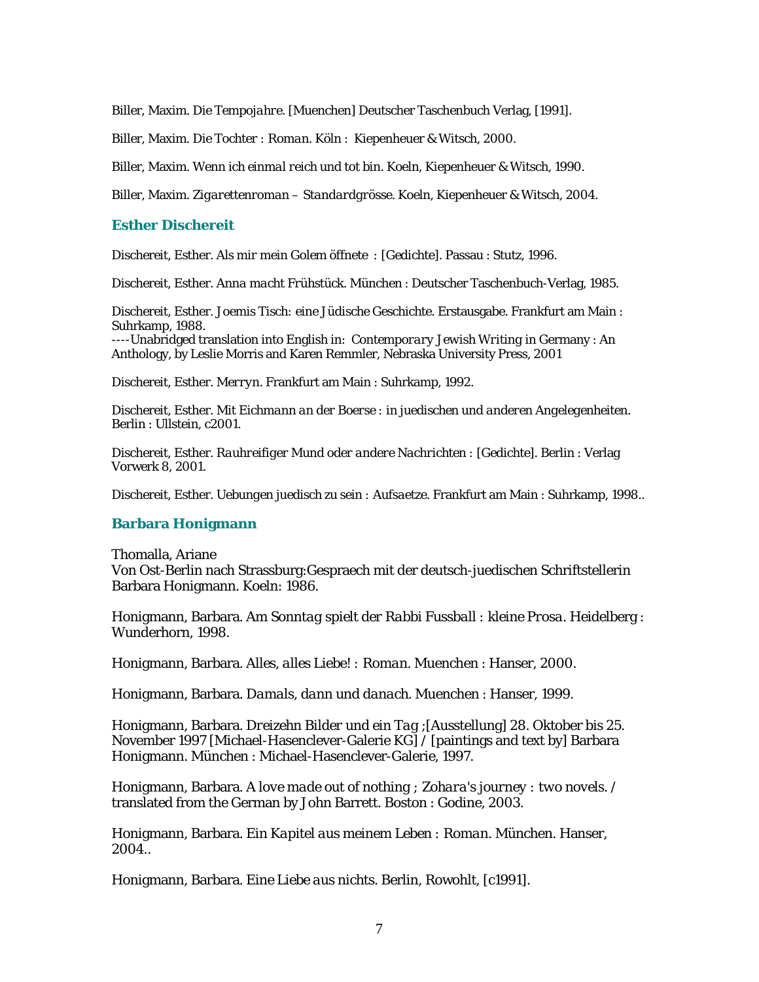Biller, Maxim. *Die Tempojahre*. [Muenchen] Deutscher Taschenbuch Verlag, [1991].

Biller, Maxim. *Die Tochter : Roman.* Köln : Kiepenheuer & Witsch, 2000.

Biller, Maxim. *Wenn ich einmal reich und tot bin.* Koeln, Kiepenheuer & Witsch, 1990.

Biller, Maxim. *Zigarettenroman – Standardgrösse*. Koeln, Kiepenheuer & Witsch, 2004.

# **Esther Dischereit**

Dischereit, Esther. *Als mir mein Golem öffnete : [Gedichte].* Passau : Stutz, 1996.

Dischereit, Esther. *Anna macht Frühstück.* München : Deutscher Taschenbuch-Verlag, 1985.

Dischereit, Esther. Joemis *Tisch: eine Jüdische Geschichte*. Erstausgabe. Frankfurt am Main : Suhrkamp, 1988.

----Unabridged translation into English in: *Contemporary Jewish Writing in* Germany : An Anthology, by Leslie Morris and Karen Remmler, Nebraska University Press, 2001

Dischereit, Esther. *Merryn.* Frankfurt am Main : Suhrkamp, 1992.

Dischereit, Esther. *Mit Eichmann an der Boerse : in juedischen und anderen Angelegenheiten.* Berlin : Ullstein, c2001.

Dischereit, Esther. *Rauhreifiger Mund oder andere Nachrichten : [Gedichte]*. Berlin : Verlag Vorwerk 8, 2001.

Dischereit, Esther. *Uebungen juedisch zu sein : Aufsaetze*. Frankfurt am Main : Suhrkamp, 1998..

#### **Barbara Honigmann**

Thomalla, Ariane Von Ost-Berlin nach Strassburg:Gespraech mit der deutsch-juedischen Schriftstellerin Barbara Honigmann. Koeln: 1986.

Honigmann, Barbara. *Am Sonntag spielt der Rabbi Fussball : kleine Prosa.* Heidelberg : Wunderhorn, 1998.

Honigmann, Barbara. *Alles, alles Liebe! : Roman*. Muenchen : Hanser, 2000.

Honigmann, Barbara. *Damals, dann und danach.* Muenchen : Hanser, 1999.

Honigmann, Barbara. *Dreizehn Bilder und ein Tag* ;[Ausstellung] 28. Oktober bis 25. November 1997 [Michael-Hasenclever-Galerie KG] / [paintings and text by] Barbara Honigmann. München : Michael-Hasenclever-Galerie, 1997.

Honigmann, Barbara. *A love made out of nothing ; Zohara's journey : two novels*. / translated from the German by John Barrett. Boston : Godine, 2003.

Honigmann, Barbara. *Ein Kapitel aus meinem Leben : Roman.* München. Hanser, 2004..

Honigmann, Barbara. *Eine Liebe aus nichts.* Berlin, Rowohlt, [c1991].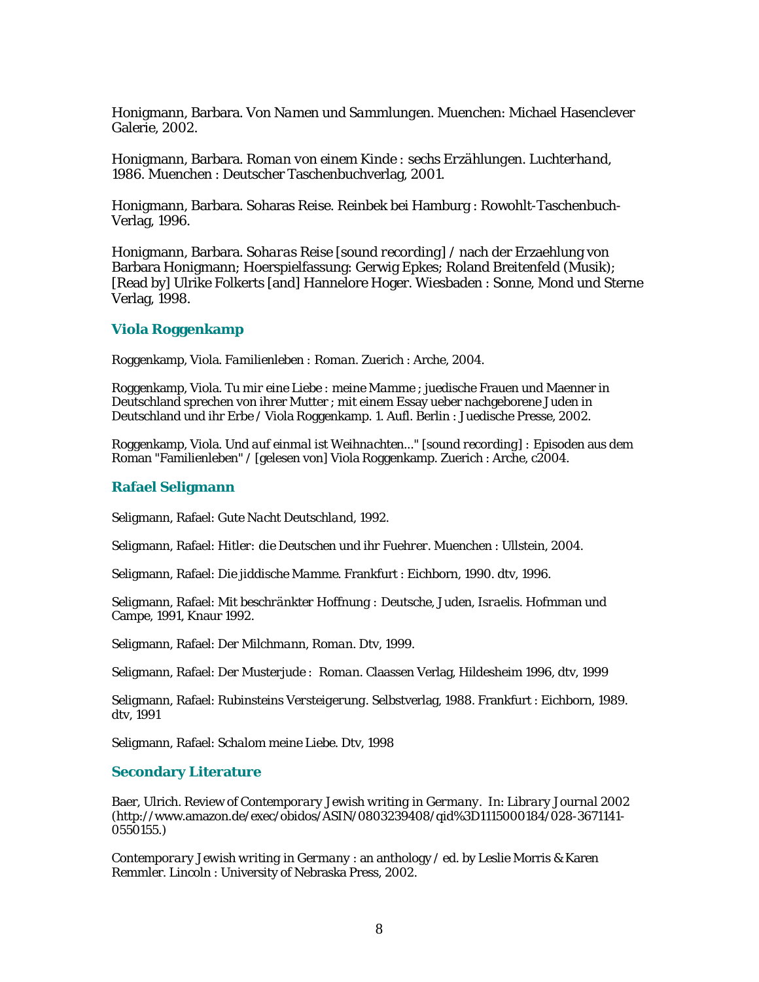Honigmann, Barbara. *Von Namen und Sammlungen.* Muenchen: Michael Hasenclever Galerie, 2002.

Honigmann, Barbara. *Roman von einem Kinde : sechs Erzählungen. Luchterhand, 1986.* Muenchen : Deutscher Taschenbuchverlag, 2001.

Honigmann, Barbara. Soharas Reise. Reinbek bei Hamburg : Rowohlt-Taschenbuch-Verlag, 1996.

Honigmann, Barbara. *Soharas Reise [sound recording*] / nach der Erzaehlung von Barbara Honigmann; Hoerspielfassung: Gerwig Epkes; Roland Breitenfeld (Musik); [Read by] Ulrike Folkerts [and] Hannelore Hoger. Wiesbaden : Sonne, Mond und Sterne Verlag, 1998.

#### **Viola Roggenkamp**

Roggenkamp, Viola. *Familienleben : Roman*. Zuerich : Arche, 2004.

Roggenkamp, Viola. *Tu mir eine Liebe : meine Mamme* ; juedische Frauen und Maenner in Deutschland sprechen von ihrer Mutter ; mit einem Essay ueber nachgeborene Juden in Deutschland und ihr Erbe / Viola Roggenkamp. 1. Aufl. Berlin : Juedische Presse, 2002.

Roggenkamp, Viola. *Und auf einmal ist Weihnachten..." [sound recording] :* Episoden aus dem Roman "Familienleben" / [gelesen von] Viola Roggenkamp. Zuerich : Arche, c2004.

#### **Rafael Seligmann**

Seligmann, Rafael: *Gute Nacht Deutschland,* 1992.

Seligmann, Rafael: *Hitler: die Deutschen und ihr Fuehrer.* Muenchen : Ullstein, 2004.

Seligmann, Rafael: *Die jiddische Mamme.* Frankfurt : Eichborn, 1990. dtv, 1996.

Seligmann, Rafael: *Mit beschränkter Hoffnung : Deutsche, Juden, Israelis.* Hofmman und Campe, 1991, Knaur 1992.

Seligmann, Rafael: *Der Milchmann, Roman*. Dtv, 1999.

Seligmann, Rafael: *Der Musterjude : Roman.* Claassen Verlag, Hildesheim 1996, dtv, 1999

Seligmann, Rafael: *Rubinsteins Versteigerung*. Selbstverlag, 1988. Frankfurt : Eichborn, 1989. dtv, 1991

Seligmann, Rafael: *Schalom meine Liebe*. Dtv, 1998

#### **Secondary Literature**

Baer, Ulrich. Review of *Contemporary Jewish writing in Germany*. In: *Library Journal* 2002 (http://www.amazon.de/exec/obidos/ASIN/0803239408/qid%3D1115000184/028-3671141- 0550155.)

*Contemporary Jewish writing in Germany* : an anthology / ed. by Leslie Morris & Karen Remmler. Lincoln : University of Nebraska Press, 2002.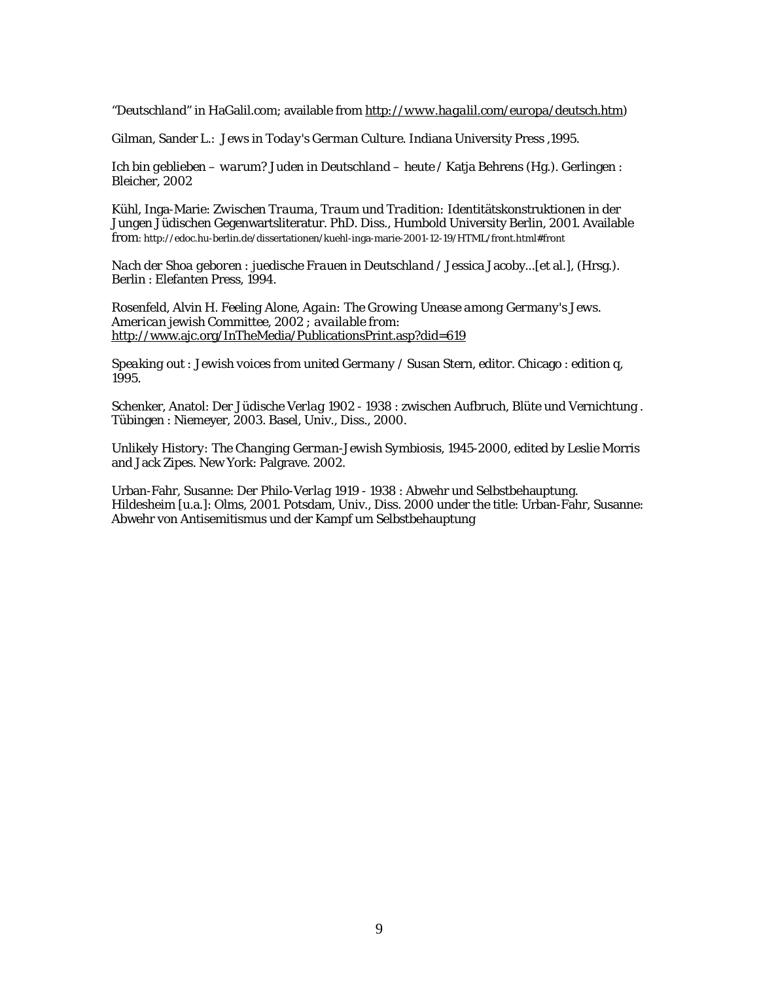"*Deutschland*" in HaGalil.com; available from *http://www.hagalil.com/europa/deutsch.htm)* 

Gilman, Sander L.: *Jews in Today's German Culture*. Indiana University Press ,1995.

*Ich bin geblieben – warum? Juden in Deutschland – heute* / Katja Behrens (Hg.). Gerlingen : Bleicher, 2002

Kühl, Inga-Marie: *Zwischen Trauma, Traum und Tradition:* Identitätskonstruktionen in der Jungen Jüdischen Gegenwartsliteratur. PhD. Diss., Humbold University Berlin, 2001. Available from: http://edoc.hu-berlin.de/dissertationen/kuehl-inga-marie-2001-12-19/HTML/front.html#front

*Nach der Shoa geboren : juedische Frauen in Deutschland* / Jessica Jacoby...[et al.], (Hrsg.). Berlin : Elefanten Press, 1994.

Rosenfeld*,* Alvin H. *Feeling Alone, Again: The Growing Unease among Germany's Jews. American jewish Committee, 2002 ; available from:*  http://www.ajc.org/InTheMedia/PublicationsPrint.asp?did=619

*Speaking out : Jewish voices from united Germany* / Susan Stern, editor. Chicago : edition q, 1995.

Schenker, Anatol: *Der Jüdische Verlag 1902 - 1938* : zwischen Aufbruch, Blüte und Vernichtung . Tübingen : Niemeyer, 2003. Basel, Univ., Diss., 2000.

*Unlikely History: The Changing German-Jewish Symbiosis, 1945-2000*, edited by Leslie Morris and Jack Zipes. New York: Palgrave. 2002.

Urban-Fahr, Susanne: *Der Philo-Verlag 1919 - 1938* : Abwehr und Selbstbehauptung. Hildesheim [u.a.]: Olms, 2001. Potsdam, Univ., Diss. 2000 under the title: Urban-Fahr, Susanne: Abwehr von Antisemitismus und der Kampf um Selbstbehauptung